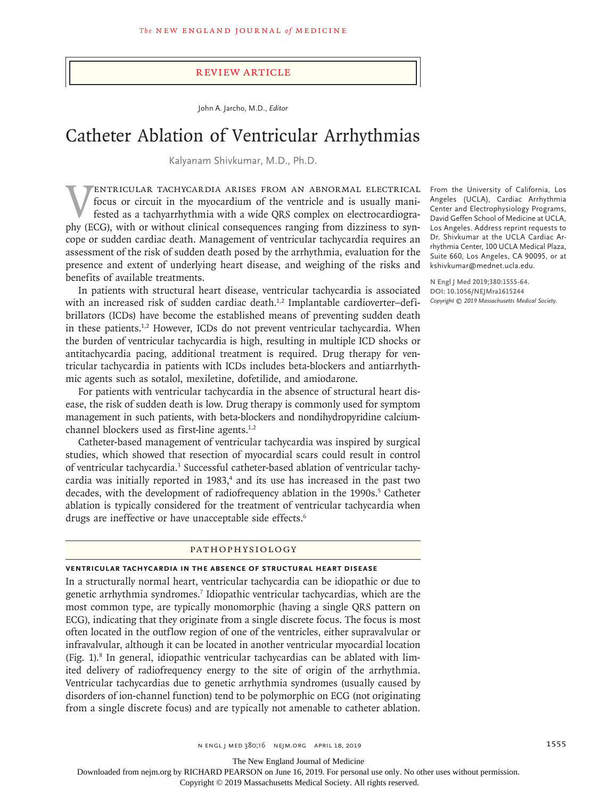#### Review Article

John A. Jarcho, M.D., *Editor*

# Catheter Ablation of Ventricular Arrhythmias

Kalyanam Shivkumar, M.D., Ph.D.

Ventricular tachycardia arises from an abnormal electrical focus or circuit in the myocardium of the ventricle and is usually manifested as a tachyarrhythmia with a wide QRS complex on electrocardiography (ECG), with or without clinical consequences ranging from dizziness to syncope or sudden cardiac death. Management of ventricular tachycardia requires an assessment of the risk of sudden death posed by the arrhythmia, evaluation for the presence and extent of underlying heart disease, and weighing of the risks and benefits of available treatments.

In patients with structural heart disease, ventricular tachycardia is associated with an increased risk of sudden cardiac death.<sup>1,2</sup> Implantable cardioverter-defibrillators (ICDs) have become the established means of preventing sudden death in these patients. $1,2$  However, ICDs do not prevent ventricular tachycardia. When the burden of ventricular tachycardia is high, resulting in multiple ICD shocks or antitachycardia pacing, additional treatment is required. Drug therapy for ventricular tachycardia in patients with ICDs includes beta-blockers and antiarrhythmic agents such as sotalol, mexiletine, dofetilide, and amiodarone.

For patients with ventricular tachycardia in the absence of structural heart disease, the risk of sudden death is low. Drug therapy is commonly used for symptom management in such patients, with beta-blockers and nondihydropyridine calciumchannel blockers used as first-line agents.<sup>1,2</sup>

Catheter-based management of ventricular tachycardia was inspired by surgical studies, which showed that resection of myocardial scars could result in control of ventricular tachycardia.<sup>3</sup> Successful catheter-based ablation of ventricular tachycardia was initially reported in 1983,<sup>4</sup> and its use has increased in the past two decades, with the development of radiofrequency ablation in the 1990s.<sup>5</sup> Catheter ablation is typically considered for the treatment of ventricular tachycardia when drugs are ineffective or have unacceptable side effects.<sup>6</sup>

### Pathophysiology

#### **Ventricular Tachycardia in the Absence of Structural Heart Disease**

In a structurally normal heart, ventricular tachycardia can be idiopathic or due to genetic arrhythmia syndromes.7 Idiopathic ventricular tachycardias, which are the most common type, are typically monomorphic (having a single QRS pattern on ECG), indicating that they originate from a single discrete focus. The focus is most often located in the outflow region of one of the ventricles, either supravalvular or infravalvular, although it can be located in another ventricular myocardial location (Fig. 1).<sup>8</sup> In general, idiopathic ventricular tachycardias can be ablated with limited delivery of radiofrequency energy to the site of origin of the arrhythmia. Ventricular tachycardias due to genetic arrhythmia syndromes (usually caused by disorders of ion-channel function) tend to be polymorphic on ECG (not originating from a single discrete focus) and are typically not amenable to catheter ablation.

From the University of California, Los Angeles (UCLA), Cardiac Arrhythmia Center and Electrophysiology Programs, David Geffen School of Medicine at UCLA, Los Angeles. Address reprint requests to Dr. Shivkumar at the UCLA Cardiac Arrhythmia Center, 100 UCLA Medical Plaza, Suite 660, Los Angeles, CA 90095, or at kshivkumar@mednet.ucla.edu.

**N Engl J Med 2019;380:1555-64. DOI: 10.1056/NEJMra1615244** *Copyright © 2019 Massachusetts Medical Society.*

The New England Journal of Medicine

Downloaded from nejm.org by RICHARD PEARSON on June 16, 2019. For personal use only. No other uses without permission.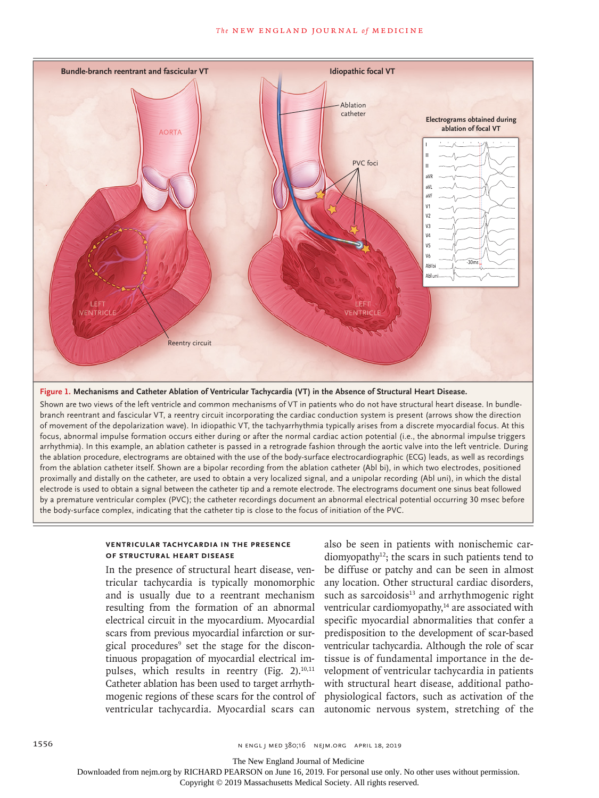

### **Figure 1. Mechanisms and Catheter Ablation of Ventricular Tachycardia (VT) in the Absence of Structural Heart Disease.**

Shown are two views of the left ventricle and common mechanisms of VT in patients who do not have structural heart disease. In bundlebranch reentrant and fascicular VT, a reentry circuit incorporating the cardiac conduction system is present (arrows show the direction of movement of the depolarization wave). In idiopathic VT, the tachyarrhythmia typically arises from a discrete myocardial focus. At this focus, abnormal impulse formation occurs either during or after the normal cardiac action potential (i.e., the abnormal impulse triggers arrhythmia). In this example, an ablation catheter is passed in a retrograde fashion through the aortic valve into the left ventricle. During the ablation procedure, electrograms are obtained with the use of the body-surface electrocardiographic (ECG) leads, as well as recordings from the ablation catheter itself. Shown are a bipolar recording from the ablation catheter (Abl bi), in which two electrodes, positioned proximally and distally on the catheter, are used to obtain a very localized signal, and a unipolar recording (Abl uni), in which the distal electrode is used to obtain a signal between the catheter tip and a remote electrode. The electrograms document one sinus beat followed by a premature ventricular complex (PVC); the catheter recordings document an abnormal electrical potential occurring 30 msec before the body-surface complex, indicating that the catheter tip is close to the focus of initiation of the PVC.

### **Ventricular Tachycardia in the Presence of Structural Heart Disease**

In the presence of structural heart disease, ventricular tachycardia is typically monomorphic and is usually due to a reentrant mechanism resulting from the formation of an abnormal electrical circuit in the myocardium. Myocardial scars from previous myocardial infarction or surgical procedures<sup>9</sup> set the stage for the discontinuous propagation of myocardial electrical impulses, which results in reentry (Fig. 2).<sup>10,11</sup> Catheter ablation has been used to target arrhythmogenic regions of these scars for the control of ventricular tachycardia. Myocardial scars can

also be seen in patients with nonischemic car $diamy$ <sub>2</sub>; the scars in such patients tend to be diffuse or patchy and can be seen in almost any location. Other structural cardiac disorders, such as sarcoidosis $13$  and arrhythmogenic right ventricular cardiomyopathy,<sup>14</sup> are associated with specific myocardial abnormalities that confer a predisposition to the development of scar-based ventricular tachycardia. Although the role of scar tissue is of fundamental importance in the development of ventricular tachycardia in patients with structural heart disease, additional pathophysiological factors, such as activation of the autonomic nervous system, stretching of the

The New England Journal of Medicine

Downloaded from nejm.org by RICHARD PEARSON on June 16, 2019. For personal use only. No other uses without permission.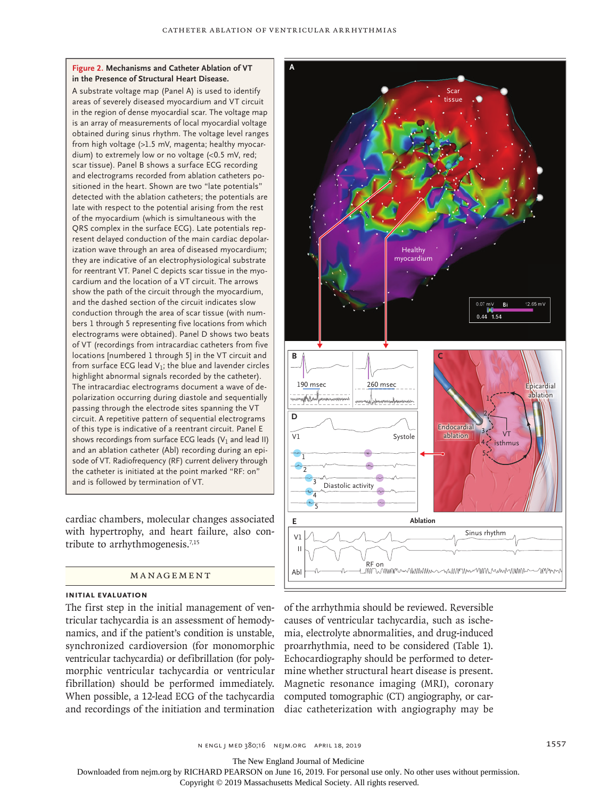### **Figure 2. Mechanisms and Catheter Ablation of VT in the Presence of Structural Heart Disease.**

A substrate voltage map (Panel A) is used to identify areas of severely diseased myocardium and VT circuit in the region of dense myocardial scar. The voltage map is an array of measurements of local myocardial voltage obtained during sinus rhythm. The voltage level ranges from high voltage (>1.5 mV, magenta; healthy myocardium) to extremely low or no voltage (<0.5 mV, red; scar tissue). Panel B shows a surface ECG recording and electrograms recorded from ablation catheters positioned in the heart. Shown are two "late potentials" detected with the ablation catheters; the potentials are late with respect to the potential arising from the rest of the myocardium (which is simultaneous with the QRS complex in the surface ECG). Late potentials represent delayed conduction of the main cardiac depolarization wave through an area of diseased myocardium; they are indicative of an electrophysiological substrate for reentrant VT. Panel C depicts scar tissue in the myocardium and the location of a VT circuit. The arrows show the path of the circuit through the myocardium, and the dashed section of the circuit indicates slow conduction through the area of scar tissue (with numbers 1 through 5 representing five locations from which electrograms were obtained). Panel D shows two beats of VT (recordings from intracardiac catheters from five locations [numbered 1 through 5] in the VT circuit and from surface ECG lead  $V_1$ ; the blue and lavender circles highlight abnormal signals recorded by the catheter). The intracardiac electrograms document a wave of depolarization occurring during diastole and sequentially passing through the electrode sites spanning the VT circuit. A repetitive pattern of sequential electrograms of this type is indicative of a reentrant circuit. Panel E shows recordings from surface ECG leads ( $V_1$  and lead II) and an ablation catheter (Abl) recording during an episode of VT. Radiofrequency (RF) current delivery through the catheter is initiated at the point marked "RF: on" and is followed by termination of VT.

cardiac chambers, molecular changes associated with hypertrophy, and heart failure, also contribute to arrhythmogenesis. $7,15$ 

### **MANAGEMENT**

### **Initial Evaluation**

The first step in the initial management of ventricular tachycardia is an assessment of hemodynamics, and if the patient's condition is unstable, synchronized cardioversion (for monomorphic ventricular tachycardia) or defibrillation (for polymorphic ventricular tachycardia or ventricular fibrillation) should be performed immediately. When possible, a 12-lead ECG of the tachycardia and recordings of the initiation and termination diac catheterization with angiography may be



of the arrhythmia should be reviewed. Reversible causes of ventricular tachycardia, such as ischemia, electrolyte abnormalities, and drug-induced proarrhythmia, need to be considered (Table 1). Echocardiography should be performed to determine whether structural heart disease is present. Magnetic resonance imaging (MRI), coronary computed tomographic (CT) angiography, or car-

n engl j med 380;16 nejm.org April 18, 2019 1557

The New England Journal of Medicine

Downloaded from nejm.org by RICHARD PEARSON on June 16, 2019. For personal use only. No other uses without permission.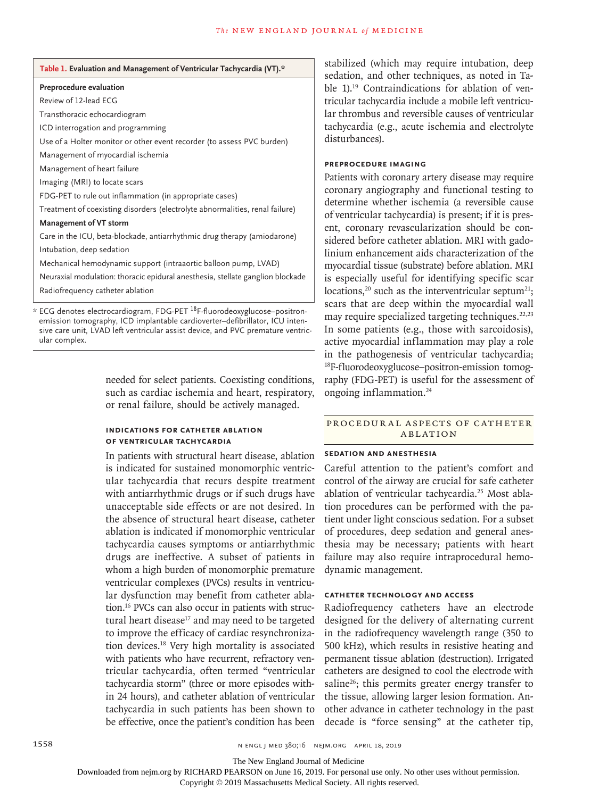| Table 1. Evaluation and Management of Ventricular Tachycardia (VT).* |  |
|----------------------------------------------------------------------|--|
|----------------------------------------------------------------------|--|

#### **Preprocedure evaluation**

Review of 12-lead ECG

Transthoracic echocardiogram

ICD interrogation and programming

Use of a Holter monitor or other event recorder (to assess PVC burden)

Management of myocardial ischemia

Management of heart failure

Imaging (MRI) to locate scars

FDG-PET to rule out inflammation (in appropriate cases)

Treatment of coexisting disorders (electrolyte abnormalities, renal failure)

#### **Management of VT storm**

Care in the ICU, beta-blockade, antiarrhythmic drug therapy (amiodarone) Intubation, deep sedation

Mechanical hemodynamic support (intraaortic balloon pump, LVAD)

Neuraxial modulation: thoracic epidural anesthesia, stellate ganglion blockade

Radiofrequency catheter ablation

\* ECG denotes electrocardiogram, FDG-PET 18F-fluorodeoxyglucose–positronemission tomography, ICD implantable cardioverter–defibrillator, ICU intensive care unit, LVAD left ventricular assist device, and PVC premature ventricular complex.

> needed for select patients. Coexisting conditions, such as cardiac ischemia and heart, respiratory, or renal failure, should be actively managed.

### **Indications for Catheter Ablation of Ventricular Tachycardia**

In patients with structural heart disease, ablation is indicated for sustained monomorphic ventricular tachycardia that recurs despite treatment with antiarrhythmic drugs or if such drugs have unacceptable side effects or are not desired. In the absence of structural heart disease, catheter ablation is indicated if monomorphic ventricular tachycardia causes symptoms or antiarrhythmic drugs are ineffective. A subset of patients in whom a high burden of monomorphic premature ventricular complexes (PVCs) results in ventricular dysfunction may benefit from catheter ablation.16 PVCs can also occur in patients with structural heart disease<sup>17</sup> and may need to be targeted to improve the efficacy of cardiac resynchronization devices.18 Very high mortality is associated with patients who have recurrent, refractory ventricular tachycardia, often termed "ventricular tachycardia storm" (three or more episodes within 24 hours), and catheter ablation of ventricular tachycardia in such patients has been shown to be effective, once the patient's condition has been decade is "force sensing" at the catheter tip,

stabilized (which may require intubation, deep sedation, and other techniques, as noted in Table 1).<sup>19</sup> Contraindications for ablation of ventricular tachycardia include a mobile left ventricular thrombus and reversible causes of ventricular tachycardia (e.g., acute ischemia and electrolyte disturbances).

### **Preprocedure Imaging**

Patients with coronary artery disease may require coronary angiography and functional testing to determine whether ischemia (a reversible cause of ventricular tachycardia) is present; if it is present, coronary revascularization should be considered before catheter ablation. MRI with gadolinium enhancement aids characterization of the myocardial tissue (substrate) before ablation. MRI is especially useful for identifying specific scar locations,<sup>20</sup> such as the interventricular septum<sup>21</sup>; scars that are deep within the myocardial wall may require specialized targeting techniques. $22,23$ In some patients (e.g., those with sarcoidosis), active myocardial inflammation may play a role in the pathogenesis of ventricular tachycardia; 18F-fluorodeoxyglucose–positron-emission tomography (FDG-PET) is useful for the assessment of ongoing inflammation.<sup>24</sup>

### PROCEDURAL ASPECTS OF CATHETER **ABLATION**

# **Sedation and Anesthesia**

Careful attention to the patient's comfort and control of the airway are crucial for safe catheter ablation of ventricular tachycardia.25 Most ablation procedures can be performed with the patient under light conscious sedation. For a subset of procedures, deep sedation and general anesthesia may be necessary; patients with heart failure may also require intraprocedural hemodynamic management.

### **Catheter Technology and Access**

Radiofrequency catheters have an electrode designed for the delivery of alternating current in the radiofrequency wavelength range (350 to 500 kHz), which results in resistive heating and permanent tissue ablation (destruction). Irrigated catheters are designed to cool the electrode with saline $26$ ; this permits greater energy transfer to the tissue, allowing larger lesion formation. Another advance in catheter technology in the past

The New England Journal of Medicine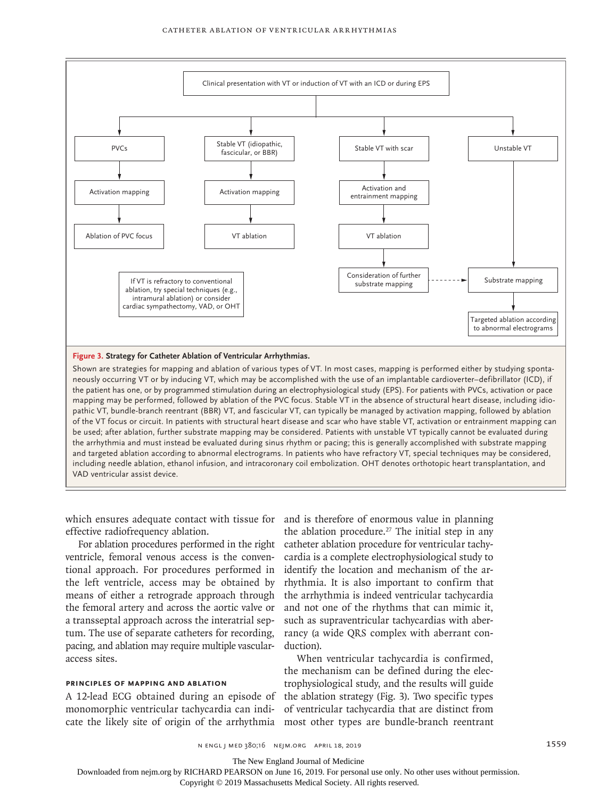

**Figure 3. Strategy for Catheter Ablation of Ventricular Arrhythmias.**

Shown are strategies for mapping and ablation of various types of VT. In most cases, mapping is performed either by studying spontaneously occurring VT or by inducing VT, which may be accomplished with the use of an implantable cardioverter–defibrillator (ICD), if the patient has one, or by programmed stimulation during an electrophysiological study (EPS). For patients with PVCs, activation or pace mapping may be performed, followed by ablation of the PVC focus. Stable VT in the absence of structural heart disease, including idiopathic VT, bundle-branch reentrant (BBR) VT, and fascicular VT, can typically be managed by activation mapping, followed by ablation of the VT focus or circuit. In patients with structural heart disease and scar who have stable VT, activation or entrainment mapping can be used; after ablation, further substrate mapping may be considered. Patients with unstable VT typically cannot be evaluated during the arrhythmia and must instead be evaluated during sinus rhythm or pacing; this is generally accomplished with substrate mapping and targeted ablation according to abnormal electrograms. In patients who have refractory VT, special techniques may be considered, including needle ablation, ethanol infusion, and intracoronary coil embolization. OHT denotes orthotopic heart transplantation, and VAD ventricular assist device.

which ensures adequate contact with tissue for and is therefore of enormous value in planning effective radiofrequency ablation.

ventricle, femoral venous access is the conventional approach. For procedures performed in the left ventricle, access may be obtained by means of either a retrograde approach through the femoral artery and across the aortic valve or a transseptal approach across the interatrial septum. The use of separate catheters for recording, pacing, and ablation may require multiple vascularaccess sites.

### **Principles of Mapping and Ablation**

A 12-lead ECG obtained during an episode of monomorphic ventricular tachycardia can indicate the likely site of origin of the arrhythmia most other types are bundle-branch reentrant

For ablation procedures performed in the right catheter ablation procedure for ventricular tachythe ablation procedure.<sup>27</sup> The initial step in any cardia is a complete electrophysiological study to identify the location and mechanism of the arrhythmia. It is also important to confirm that the arrhythmia is indeed ventricular tachycardia and not one of the rhythms that can mimic it, such as supraventricular tachycardias with aberrancy (a wide QRS complex with aberrant conduction).

> When ventricular tachycardia is confirmed, the mechanism can be defined during the electrophysiological study, and the results will guide the ablation strategy (Fig. 3). Two specific types of ventricular tachycardia that are distinct from

The New England Journal of Medicine

Downloaded from nejm.org by RICHARD PEARSON on June 16, 2019. For personal use only. No other uses without permission.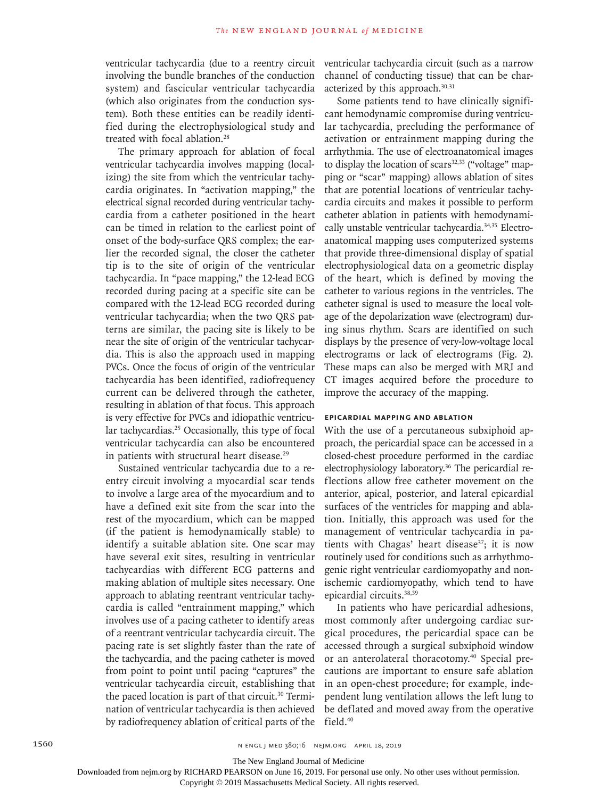ventricular tachycardia (due to a reentry circuit involving the bundle branches of the conduction system) and fascicular ventricular tachycardia (which also originates from the conduction system). Both these entities can be readily identified during the electrophysiological study and treated with focal ablation.<sup>28</sup>

The primary approach for ablation of focal ventricular tachycardia involves mapping (localizing) the site from which the ventricular tachycardia originates. In "activation mapping," the electrical signal recorded during ventricular tachycardia from a catheter positioned in the heart can be timed in relation to the earliest point of onset of the body-surface QRS complex; the earlier the recorded signal, the closer the catheter tip is to the site of origin of the ventricular tachycardia. In "pace mapping," the 12-lead ECG recorded during pacing at a specific site can be compared with the 12-lead ECG recorded during ventricular tachycardia; when the two QRS patterns are similar, the pacing site is likely to be near the site of origin of the ventricular tachycardia. This is also the approach used in mapping PVCs. Once the focus of origin of the ventricular tachycardia has been identified, radiofrequency current can be delivered through the catheter, resulting in ablation of that focus. This approach is very effective for PVCs and idiopathic ventricular tachycardias.25 Occasionally, this type of focal ventricular tachycardia can also be encountered in patients with structural heart disease.<sup>29</sup>

Sustained ventricular tachycardia due to a reentry circuit involving a myocardial scar tends to involve a large area of the myocardium and to have a defined exit site from the scar into the rest of the myocardium, which can be mapped (if the patient is hemodynamically stable) to identify a suitable ablation site. One scar may have several exit sites, resulting in ventricular tachycardias with different ECG patterns and making ablation of multiple sites necessary. One approach to ablating reentrant ventricular tachycardia is called "entrainment mapping," which involves use of a pacing catheter to identify areas of a reentrant ventricular tachycardia circuit. The pacing rate is set slightly faster than the rate of the tachycardia, and the pacing catheter is moved from point to point until pacing "captures" the ventricular tachycardia circuit, establishing that the paced location is part of that circuit.30 Termination of ventricular tachycardia is then achieved by radiofrequency ablation of critical parts of the

ventricular tachycardia circuit (such as a narrow channel of conducting tissue) that can be characterized by this approach.<sup>30,31</sup>

Some patients tend to have clinically significant hemodynamic compromise during ventricular tachycardia, precluding the performance of activation or entrainment mapping during the arrhythmia. The use of electroanatomical images to display the location of scars<sup>32,33</sup> ("voltage" mapping or "scar" mapping) allows ablation of sites that are potential locations of ventricular tachycardia circuits and makes it possible to perform catheter ablation in patients with hemodynamically unstable ventricular tachycardia.34,35 Electroanatomical mapping uses computerized systems that provide three-dimensional display of spatial electrophysiological data on a geometric display of the heart, which is defined by moving the catheter to various regions in the ventricles. The catheter signal is used to measure the local voltage of the depolarization wave (electrogram) during sinus rhythm. Scars are identified on such displays by the presence of very-low-voltage local electrograms or lack of electrograms (Fig. 2). These maps can also be merged with MRI and CT images acquired before the procedure to improve the accuracy of the mapping.

### **Epicardial Mapping and Ablation**

With the use of a percutaneous subxiphoid approach, the pericardial space can be accessed in a closed-chest procedure performed in the cardiac electrophysiology laboratory.36 The pericardial reflections allow free catheter movement on the anterior, apical, posterior, and lateral epicardial surfaces of the ventricles for mapping and ablation. Initially, this approach was used for the management of ventricular tachycardia in patients with Chagas' heart disease<sup>37</sup>; it is now routinely used for conditions such as arrhythmogenic right ventricular cardiomyopathy and nonischemic cardiomyopathy, which tend to have epicardial circuits.38,39

In patients who have pericardial adhesions, most commonly after undergoing cardiac surgical procedures, the pericardial space can be accessed through a surgical subxiphoid window or an anterolateral thoracotomy.40 Special precautions are important to ensure safe ablation in an open-chest procedure; for example, independent lung ventilation allows the left lung to be deflated and moved away from the operative field.40

The New England Journal of Medicine

Downloaded from nejm.org by RICHARD PEARSON on June 16, 2019. For personal use only. No other uses without permission.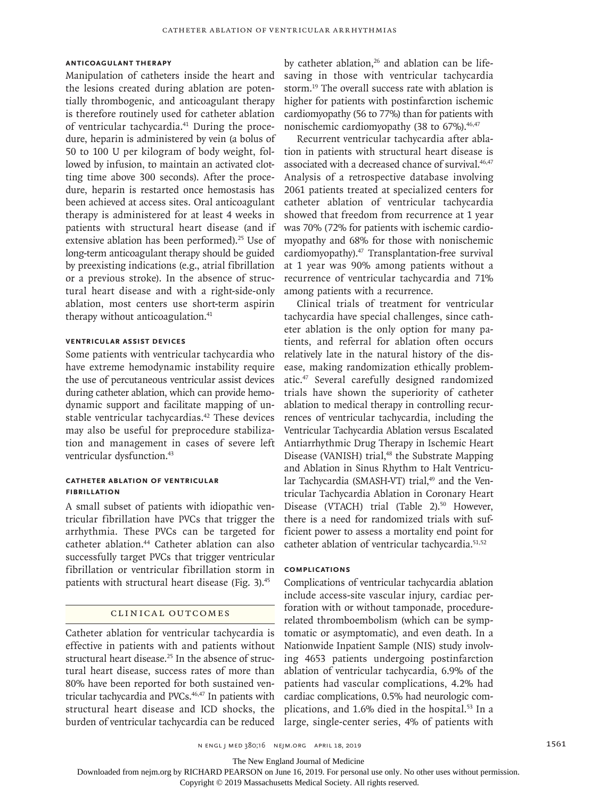# **Anticoagulant Therapy**

Manipulation of catheters inside the heart and the lesions created during ablation are potentially thrombogenic, and anticoagulant therapy is therefore routinely used for catheter ablation of ventricular tachycardia.41 During the procedure, heparin is administered by vein (a bolus of 50 to 100 U per kilogram of body weight, followed by infusion, to maintain an activated clotting time above 300 seconds). After the procedure, heparin is restarted once hemostasis has been achieved at access sites. Oral anticoagulant therapy is administered for at least 4 weeks in patients with structural heart disease (and if extensive ablation has been performed).<sup>25</sup> Use of long-term anticoagulant therapy should be guided by preexisting indications (e.g., atrial fibrillation or a previous stroke). In the absence of structural heart disease and with a right-side-only ablation, most centers use short-term aspirin therapy without anticoagulation.<sup>41</sup>

# **Ventricular Assist Devices**

Some patients with ventricular tachycardia who have extreme hemodynamic instability require the use of percutaneous ventricular assist devices during catheter ablation, which can provide hemodynamic support and facilitate mapping of unstable ventricular tachycardias.<sup>42</sup> These devices may also be useful for preprocedure stabilization and management in cases of severe left ventricular dysfunction.<sup>43</sup>

### **Catheter Ablation of Ventricular Fibrillation**

A small subset of patients with idiopathic ventricular fibrillation have PVCs that trigger the arrhythmia. These PVCs can be targeted for catheter ablation.44 Catheter ablation can also successfully target PVCs that trigger ventricular fibrillation or ventricular fibrillation storm in patients with structural heart disease (Fig. 3).<sup>45</sup>

### Clinical Outcomes

Catheter ablation for ventricular tachycardia is effective in patients with and patients without structural heart disease.25 In the absence of structural heart disease, success rates of more than 80% have been reported for both sustained ventricular tachycardia and PVCs.<sup>46,47</sup> In patients with structural heart disease and ICD shocks, the burden of ventricular tachycardia can be reduced by catheter ablation, $26$  and ablation can be lifesaving in those with ventricular tachycardia storm.19 The overall success rate with ablation is higher for patients with postinfarction ischemic cardiomyopathy (56 to 77%) than for patients with nonischemic cardiomyopathy (38 to 67%).<sup>46,47</sup>

Recurrent ventricular tachycardia after ablation in patients with structural heart disease is associated with a decreased chance of survival.<sup>46,47</sup> Analysis of a retrospective database involving 2061 patients treated at specialized centers for catheter ablation of ventricular tachycardia showed that freedom from recurrence at 1 year was 70% (72% for patients with ischemic cardiomyopathy and 68% for those with nonischemic cardiomyopathy).47 Transplantation-free survival at 1 year was 90% among patients without a recurrence of ventricular tachycardia and 71% among patients with a recurrence.

Clinical trials of treatment for ventricular tachycardia have special challenges, since catheter ablation is the only option for many patients, and referral for ablation often occurs relatively late in the natural history of the disease, making randomization ethically problematic.47 Several carefully designed randomized trials have shown the superiority of catheter ablation to medical therapy in controlling recurrences of ventricular tachycardia, including the Ventricular Tachycardia Ablation versus Escalated Antiarrhythmic Drug Therapy in Ischemic Heart Disease (VANISH) trial,<sup>48</sup> the Substrate Mapping and Ablation in Sinus Rhythm to Halt Ventricular Tachycardia (SMASH-VT) trial,<sup>49</sup> and the Ventricular Tachycardia Ablation in Coronary Heart Disease (VTACH) trial (Table 2).<sup>50</sup> However, there is a need for randomized trials with sufficient power to assess a mortality end point for catheter ablation of ventricular tachycardia.51,52

### **Complications**

Complications of ventricular tachycardia ablation include access-site vascular injury, cardiac perforation with or without tamponade, procedurerelated thromboembolism (which can be symptomatic or asymptomatic), and even death. In a Nationwide Inpatient Sample (NIS) study involving 4653 patients undergoing postinfarction ablation of ventricular tachycardia, 6.9% of the patients had vascular complications, 4.2% had cardiac complications, 0.5% had neurologic complications, and 1.6% died in the hospital.<sup>53</sup> In a large, single-center series, 4% of patients with

n engl j med 380;16 nejm.org April 18, 2019 1561

The New England Journal of Medicine

Downloaded from nejm.org by RICHARD PEARSON on June 16, 2019. For personal use only. No other uses without permission.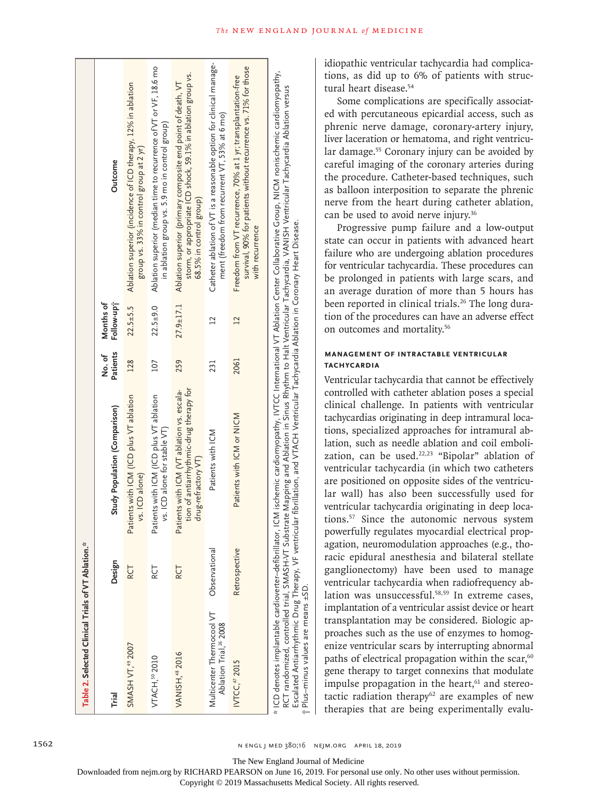| Table 2. Selected Clinical Trials of VT Ablation.*<br>SMASH VT, <sup>49</sup> 2007<br><b>VANISH, 48 2016</b><br><b>VTACH, 50 2010</b><br>Trial | Design<br>RCT<br>RCT<br>RCT | tion of antiarrhythmic-drug therapy for<br>Patients with ICM (VT ablation vs. escala-<br>Patients with ICM (ICD plus VT ablation<br>Patients with ICM (ICD plus VT ablation<br>Study Population (Comparison)<br>vs. ICD alone for stable VT)<br>drug-refractory VT)<br>vs. ICD alone) | Patients<br>No. of<br>128<br>259<br>107 | Follow-up?<br>Months of<br>$27.9 \pm 17.1$<br>$22.5 + 5.5$<br>$22.5+9.0$ | Ablation superior (median time to recurrence of VT or VF, 18.6 mo<br>storm, or appropriate ICD shock, 59.1% in ablation group vs.<br>Ablation superior (primary composite end point of death, VT<br>Ablation superior (incidence of ICD therapy, 12% in ablation<br>in ablation group vs. 5.9 mo in control group)<br>group vs. 33% in control group at 2 yr)<br>Outcome<br>68.5% in control group) |
|------------------------------------------------------------------------------------------------------------------------------------------------|-----------------------------|---------------------------------------------------------------------------------------------------------------------------------------------------------------------------------------------------------------------------------------------------------------------------------------|-----------------------------------------|--------------------------------------------------------------------------|-----------------------------------------------------------------------------------------------------------------------------------------------------------------------------------------------------------------------------------------------------------------------------------------------------------------------------------------------------------------------------------------------------|
| Multicenter Thermocool VT<br>Ablation Trial, <sup>26</sup> 2008                                                                                | Observational               | Patients with ICM                                                                                                                                                                                                                                                                     | 231                                     | $\overline{C}$                                                           | Catheter ablation of VT is a reasonable option for clinical manage-<br>ment (freedom from recurrent VT, 53% at 6 mo)                                                                                                                                                                                                                                                                                |
| IVTCC, 47 2015                                                                                                                                 | <b>Retrospective</b>        | Patients with ICM or NICM                                                                                                                                                                                                                                                             | 2061                                    | $\overline{2}$                                                           | survival, 90% for patients without recurrence vs. 71% for those<br>Freedom from VT recurrence, 70% at 1 yr; transplantation-free<br>with recurrence                                                                                                                                                                                                                                                 |
|                                                                                                                                                |                             |                                                                                                                                                                                                                                                                                       |                                         |                                                                          | * ICD denotes implantable cardioverter-defibrillator, ICM ischemic cardiomyopathy, IVTCC International VT Ablation Center Collaborative Group, NICM nonischemic cardiomyopathy,                                                                                                                                                                                                                     |

RCT randomized, controlled trial, SMASH-VT Substrate Mapping and Ablation in Sinus Rhythm to Halt Ventricular Tachycardia, VANISH Ventricular Tachycardia Ablation versus RCT randomized, controlled trial, SMASH-VT Substrate Mapping and Ablation in Sinus Rhythm to Halt Ventricular Tachycardia, VANISH Ventricular Tachycardia Ablation versus Escalated Antiarrhythmic Drug Therapy, VF ventricular fibrillation, and VTACH Ventricular Tachycardia Ablation in Coronary Heart Disease.<br>Plus-minus values are means ±SD. Escalated Antiarrhythmic Drug Therapy, VF ventricular fibrillation, and VTACH Ventricular Tachycardia Ablation in Coronary Heart Disease. Plus–minus values are means ±SD. † idiopathic ventricular tachycardia had complications, as did up to 6% of patients with structural heart disease.54

Some complications are specifically associated with percutaneous epicardial access, such as phrenic nerve damage, coronary-artery injury, liver laceration or hematoma, and right ventricular damage.55 Coronary injury can be avoided by careful imaging of the coronary arteries during the procedure. Catheter-based techniques, such as balloon interposition to separate the phrenic nerve from the heart during catheter ablation, can be used to avoid nerve injury.<sup>36</sup>

Progressive pump failure and a low-output state can occur in patients with advanced heart failure who are undergoing ablation procedures for ventricular tachycardia. These procedures can be prolonged in patients with large scars, and an average duration of more than 5 hours has been reported in clinical trials.<sup>26</sup> The long duration of the procedures can have an adverse effect on outcomes and mortality.56

# **Management of Intractable Ventricular Tachycardia**

Ventricular tachycardia that cannot be effectively controlled with catheter ablation poses a special clinical challenge. In patients with ventricular tachycardias originating in deep intramural locations, specialized approaches for intramural ablation, such as needle ablation and coil embolization, can be used.<sup>22,23</sup> "Bipolar" ablation of ventricular tachycardia (in which two catheters are positioned on opposite sides of the ventricular wall) has also been successfully used for ventricular tachycardia originating in deep locations.57 Since the autonomic nervous system powerfully regulates myocardial electrical propagation, neuromodulation approaches (e.g., thoracic epidural anesthesia and bilateral stellate ganglionectomy) have been used to manage ventricular tachycardia when radiofrequency ablation was unsuccessful.<sup>58,59</sup> In extreme cases, implantation of a ventricular assist device or heart transplantation may be considered. Biologic approaches such as the use of enzymes to homogenize ventricular scars by interrupting abnormal paths of electrical propagation within the scar,<sup>60</sup> gene therapy to target connexins that modulate impulse propagation in the heart,<sup>61</sup> and stereotactic radiation therapy<sup>62</sup> are examples of new therapies that are being experimentally evalu-

The New England Journal of Medicine

Downloaded from nejm.org by RICHARD PEARSON on June 16, 2019. For personal use only. No other uses without permission.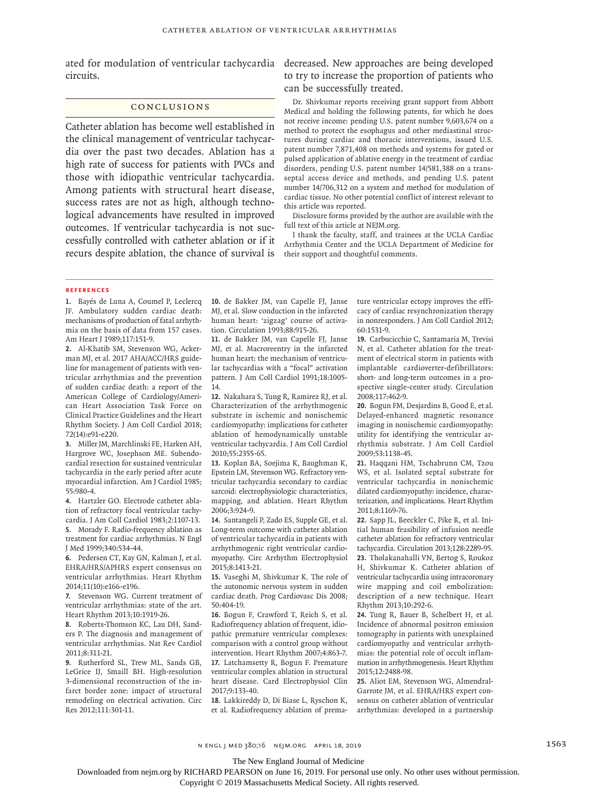circuits.

### Conclusions

Catheter ablation has become well established in the clinical management of ventricular tachycardia over the past two decades. Ablation has a high rate of success for patients with PVCs and those with idiopathic ventricular tachycardia. Among patients with structural heart disease, success rates are not as high, although technological advancements have resulted in improved outcomes. If ventricular tachycardia is not successfully controlled with catheter ablation or if it recurs despite ablation, the chance of survival is

ated for modulation of ventricular tachycardia decreased. New approaches are being developed to try to increase the proportion of patients who can be successfully treated.

> Dr. Shivkumar reports receiving grant support from Abbott Medical and holding the following patents, for which he does not receive income: pending U.S. patent number 9,603,674 on a method to protect the esophagus and other mediastinal structures during cardiac and thoracic interventions, issued U.S. patent number 7,871,408 on methods and systems for gated or pulsed application of ablative energy in the treatment of cardiac disorders, pending U.S. patent number 14/581,388 on a transseptal access device and methods, and pending U.S. patent number 14/706,312 on a system and method for modulation of cardiac tissue. No other potential conflict of interest relevant to this article was reported.

> Disclosure forms provided by the author are available with the full text of this article at NEJM.org.

> I thank the faculty, staff, and trainees at the UCLA Cardiac Arrhythmia Center and the UCLA Department of Medicine for their support and thoughtful comments.

#### **References**

**1.** Bayés de Luna A, Coumel P, Leclercq JF. Ambulatory sudden cardiac death: mechanisms of production of fatal arrhythmia on the basis of data from 157 cases. Am Heart J 1989;117:151-9.

**2.** Al-Khatib SM, Stevenson WG, Ackerman MJ, et al. 2017 AHA/ACC/HRS guideline for management of patients with ventricular arrhythmias and the prevention of sudden cardiac death: a report of the American College of Cardiology/American Heart Association Task Force on Clinical Practice Guidelines and the Heart Rhythm Society. J Am Coll Cardiol 2018; 72(14):e91-e220.

**3.** Miller JM, Marchlinski FE, Harken AH, Hargrove WC, Josephson ME. Subendocardial resection for sustained ventricular tachycardia in the early period after acute myocardial infarction. Am J Cardiol 1985; 55:980-4.

**4.** Hartzler GO. Electrode catheter ablation of refractory focal ventricular tachycardia. J Am Coll Cardiol 1983;2:1107-13. **5.** Morady F. Radio-frequency ablation as treatment for cardiac arrhythmias. N Engl J Med 1999;340:534-44.

**6.** Pedersen CT, Kay GN, Kalman J, et al. EHRA/HRS/APHRS expert consensus on ventricular arrhythmias. Heart Rhythm 2014;11(10):e166-e196.

**7.** Stevenson WG. Current treatment of ventricular arrhythmias: state of the art. Heart Rhythm 2013;10:1919-26.

**8.** Roberts-Thomson KC, Lau DH, Sanders P. The diagnosis and management of ventricular arrhythmias. Nat Rev Cardiol 2011;8:311-21.

**9.** Rutherford SL, Trew ML, Sands GB, LeGrice IJ, Smaill BH. High-resolution 3-dimensional reconstruction of the infarct border zone: impact of structural remodeling on electrical activation. Circ Res 2012;111:301-11.

**10.** de Bakker JM, van Capelle FJ, Janse MJ, et al. Slow conduction in the infarcted human heart: 'zigzag' course of activation. Circulation 1993;88:915-26.

**11.** de Bakker JM, van Capelle FJ, Janse MJ, et al. Macroreentry in the infarcted human heart: the mechanism of ventricular tachycardias with a "focal" activation pattern. J Am Coll Cardiol 1991;18:1005- 14.

**12.** Nakahara S, Tung R, Ramirez RJ, et al. Characterization of the arrhythmogenic substrate in ischemic and nonischemic cardiomyopathy: implications for catheter ablation of hemodynamically unstable ventricular tachycardia. J Am Coll Cardiol 2010;55:2355-65.

**13.** Koplan BA, Soejima K, Baughman K, Epstein LM, Stevenson WG. Refractory ventricular tachycardia secondary to cardiac sarcoid: electrophysiologic characteristics, mapping, and ablation. Heart Rhythm 2006;3:924-9.

**14.** Santangeli P, Zado ES, Supple GE, et al. Long-term outcome with catheter ablation of ventricular tachycardia in patients with arrhythmogenic right ventricular cardiomyopathy. Circ Arrhythm Electrophysiol 2015;8:1413-21.

**15.** Vaseghi M, Shivkumar K. The role of the autonomic nervous system in sudden cardiac death. Prog Cardiovasc Dis 2008; 50:404-19.

**16.** Bogun F, Crawford T, Reich S, et al. Radiofrequency ablation of frequent, idiopathic premature ventricular complexes: comparison with a control group without intervention. Heart Rhythm 2007;4:863-7. **17.** Latchamsetty R, Bogun F. Premature ventricular complex ablation in structural heart disease. Card Electrophysiol Clin 2017;9:133-40.

**18.** Lakkireddy D, Di Biase L, Ryschon K, et al. Radiofrequency ablation of premature ventricular ectopy improves the efficacy of cardiac resynchronization therapy in nonresponders. J Am Coll Cardiol 2012; 60:1531-9.

**19.** Carbucicchio C, Santamaria M, Trevisi N, et al. Catheter ablation for the treatment of electrical storm in patients with implantable cardioverter-defibrillators: short- and long-term outcomes in a prospective single-center study. Circulation 2008;117:462-9.

**20.** Bogun FM, Desjardins B, Good E, et al. Delayed-enhanced magnetic resonance imaging in nonischemic cardiomyopathy: utility for identifying the ventricular arrhythmia substrate. J Am Coll Cardiol 2009;53:1138-45.

**21.** Haqqani HM, Tschabrunn CM, Tzou WS, et al. Isolated septal substrate for ventricular tachycardia in nonischemic dilated cardiomyopathy: incidence, characterization, and implications. Heart Rhythm 2011;8:1169-76.

**22.** Sapp JL, Beeckler C, Pike R, et al. Initial human feasibility of infusion needle catheter ablation for refractory ventricular tachycardia. Circulation 2013;128:2289-95. **23.** Tholakanahalli VN, Bertog S, Roukoz H, Shivkumar K. Catheter ablation of ventricular tachycardia using intracoronary wire mapping and coil embolization: description of a new technique. Heart Rhythm 2013;10:292-6.

**24.** Tung R, Bauer B, Schelbert H, et al. Incidence of abnormal positron emission tomography in patients with unexplained cardiomyopathy and ventricular arrhythmias: the potential role of occult inflammation in arrhythmogenesis. Heart Rhythm 2015;12:2488-98.

**25.** Aliot EM, Stevenson WG, Almendral-Garrote JM, et al. EHRA/HRS expert consensus on catheter ablation of ventricular arrhythmias: developed in a partnership

n engl j med 380;16 nejm.org April 18, 2019 1563

The New England Journal of Medicine

Downloaded from nejm.org by RICHARD PEARSON on June 16, 2019. For personal use only. No other uses without permission.